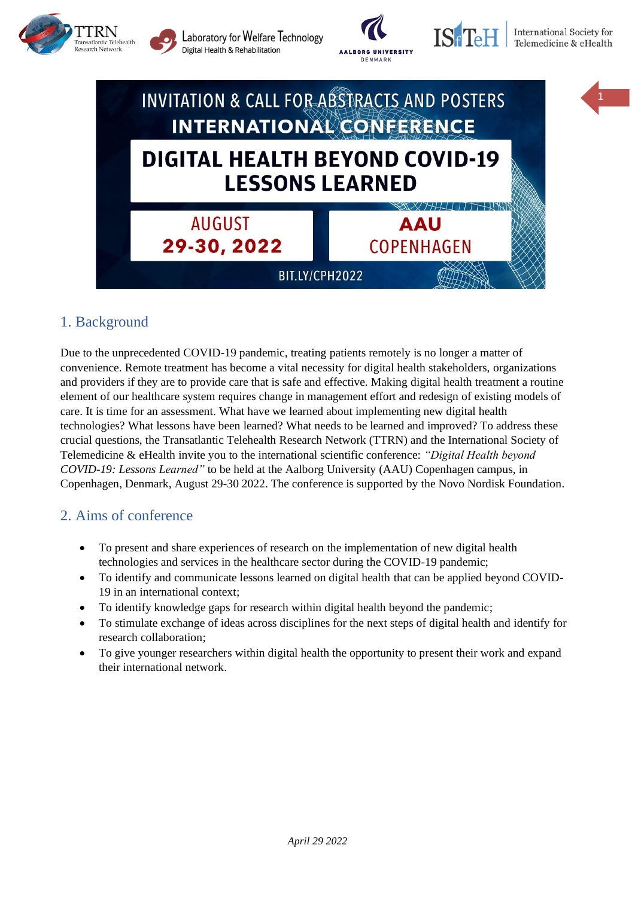



aboratory for Welfare Technology. Digital Health & Rehabilitation





International Society for Telemedicine & eHealth



### 1. Background

Due to the unprecedented COVID-19 pandemic, treating patients remotely is no longer a matter of convenience. Remote treatment has become a vital necessity for digital health stakeholders, organizations and providers if they are to provide care that is safe and effective. Making digital health treatment a routine element of our healthcare system requires change in management effort and redesign of existing models of care. It is time for an assessment. What have we learned about implementing new digital health technologies? What lessons have been learned? What needs to be learned and improved? To address these crucial questions, the Transatlantic Telehealth Research Network (TTRN) and the International Society of Telemedicine & eHealth invite you to the international scientific conference: *"Digital Health beyond COVID-19: Lessons Learned"* to be held at the Aalborg University (AAU) Copenhagen campus, in Copenhagen, Denmark, August 29-30 2022. The conference is supported by the Novo Nordisk Foundation.

### 2. Aims of conference

- To present and share experiences of research on the implementation of new digital health technologies and services in the healthcare sector during the COVID-19 pandemic;
- To identify and communicate lessons learned on digital health that can be applied beyond COVID-19 in an international context;
- To identify knowledge gaps for research within digital health beyond the pandemic;
- To stimulate exchange of ideas across disciplines for the next steps of digital health and identify for research collaboration;
- To give younger researchers within digital health the opportunity to present their work and expand their international network.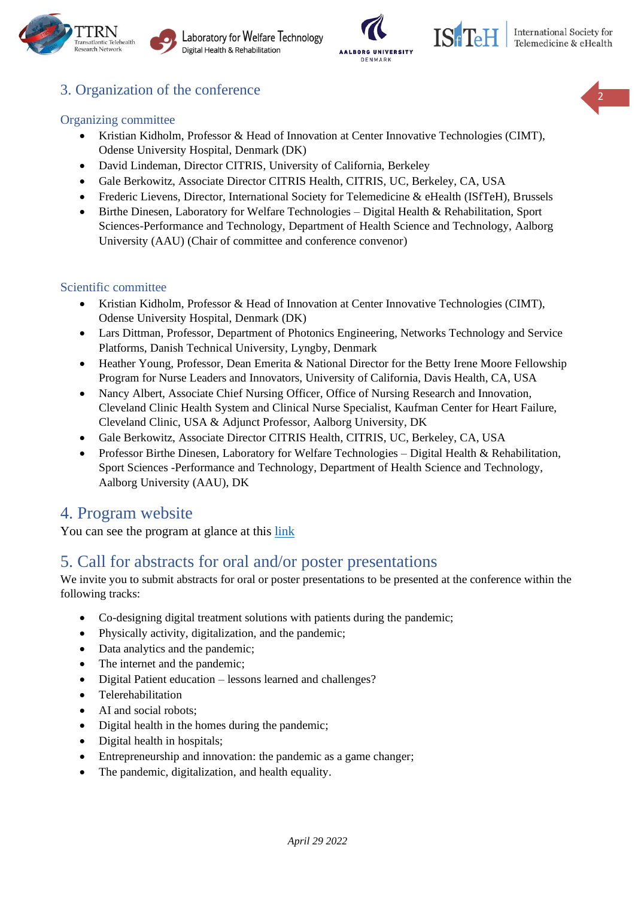





# 3. Organization of the conference

### Organizing committee

- Kristian Kidholm, Professor & Head of Innovation at Center Innovative Technologies (CIMT), Odense University Hospital, Denmark (DK)
- David Lindeman, Director CITRIS, University of California, Berkeley
- Gale Berkowitz, Associate Director CITRIS Health, CITRIS, UC, Berkeley, CA, USA
- Frederic Lievens, Director, International Society for Telemedicine & eHealth (ISfTeH), Brussels
- Birthe Dinesen, Laboratory for Welfare Technologies Digital Health & Rehabilitation, Sport Sciences-Performance and Technology, Department of Health Science and Technology, Aalborg University (AAU) (Chair of committee and conference convenor)

### Scientific committee

- Kristian Kidholm, Professor & Head of Innovation at Center Innovative Technologies (CIMT), Odense University Hospital, Denmark (DK)
- Lars Dittman, Professor, Department of Photonics Engineering, Networks Technology and Service Platforms, Danish Technical University, Lyngby, Denmark
- Heather Young, Professor, Dean Emerita & National Director for the Betty Irene Moore Fellowship Program for Nurse Leaders and Innovators, University of California, Davis Health, CA, USA
- Nancy Albert, Associate Chief Nursing Officer, Office of Nursing Research and Innovation, Cleveland Clinic Health System and Clinical Nurse Specialist, Kaufman Center for Heart Failure, Cleveland Clinic, USA & Adjunct Professor, Aalborg University, DK
- Gale Berkowitz, Associate Director CITRIS Health, CITRIS, UC, Berkeley, CA, USA
- Professor Birthe Dinesen, Laboratory for Welfare Technologies Digital Health & Rehabilitation, Sport Sciences -Performance and Technology, Department of Health Science and Technology, Aalborg University (AAU), DK

# 4. Program website

You can see the program at glance at this [link](https://www.labwelfaretech.com/ttrn/cph2022/)

# 5. Call for abstracts for oral and/or poster presentations

We invite you to submit abstracts for oral or poster presentations to be presented at the conference within the following tracks:

- Co-designing digital treatment solutions with patients during the pandemic;
- Physically activity, digitalization, and the pandemic;
- Data analytics and the pandemic;
- The internet and the pandemic;
- Digital Patient education lessons learned and challenges?
- Telerehabilitation
- AI and social robots;
- Digital health in the homes during the pandemic;
- Digital health in hospitals;
- Entrepreneurship and innovation: the pandemic as a game changer;
- The pandemic, digitalization, and health equality.

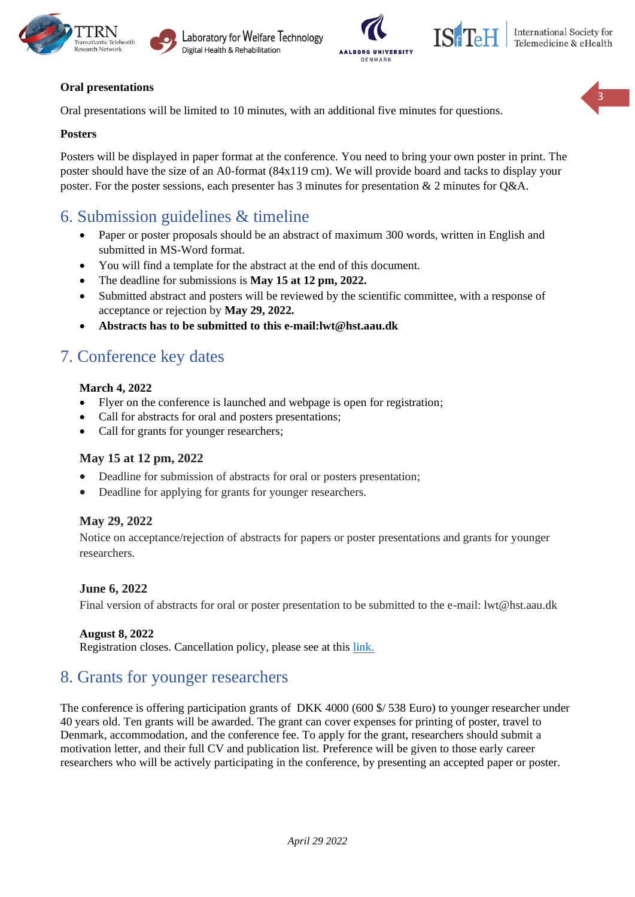



Laboratory for Welfare Technology Digital Health & Rehabilitation



International Society for Telemedicine & eHealth



### **Oral presentations**

Oral presentations will be limited to 10 minutes, with an additional five minutes for questions.

#### **Posters**

Posters will be displayed in paper format at the conference. You need to bring your own poster in print. The poster should have the size of an A0-format (84x119 cm). We will provide board and tacks to display your poster. For the poster sessions, each presenter has 3 minutes for presentation  $\&$  2 minutes for Q&A.

# 6. Submission guidelines & timeline

- Paper or poster proposals should be an abstract of maximum 300 words, written in English and submitted in MS-Word format.
- You will find a template for the abstract at the end of this document.
- The deadline for submissions is **May 15 at 12 pm, 2022.**
- Submitted abstract and posters will be reviewed by the scientific committee, with a response of acceptance or rejection by **May 29, 2022.**
- **Abstracts has to be submitted to this e-mail:lwt@hst.aau.dk**

# 7. Conference key dates

#### **March 4, 2022**

- Flyer on the conference is launched and webpage is open for registration;
- Call for abstracts for oral and posters presentations;
- Call for grants for younger researchers;

### **May 15 at 12 pm, 2022**

- Deadline for submission of abstracts for oral or posters presentation;
- Deadline for applying for grants for younger researchers.

### **May 29, 2022**

Notice on acceptance/rejection of abstracts for papers or poster presentations and grants for younger researchers.

#### **June 6, 2022**

Final version of abstracts for oral or poster presentation to be submitted to the e-mail: lwt@hst.aau.dk

#### **August 8, 2022**

Registration closes. Cancellation policy, please see at this [link.](https://playground.events.aau.dk/event/cph2022)

# 8. Grants for younger researchers

The conference is offering participation grants of DKK 4000 (600 \$/ 538 Euro) to younger researcher under 40 years old. Ten grants will be awarded. The grant can cover expenses for printing of poster, travel to Denmark, accommodation, and the conference fee. To apply for the grant, researchers should submit a motivation letter, and their full CV and publication list. Preference will be given to those early career researchers who will be actively participating in the conference, by presenting an accepted paper or poster.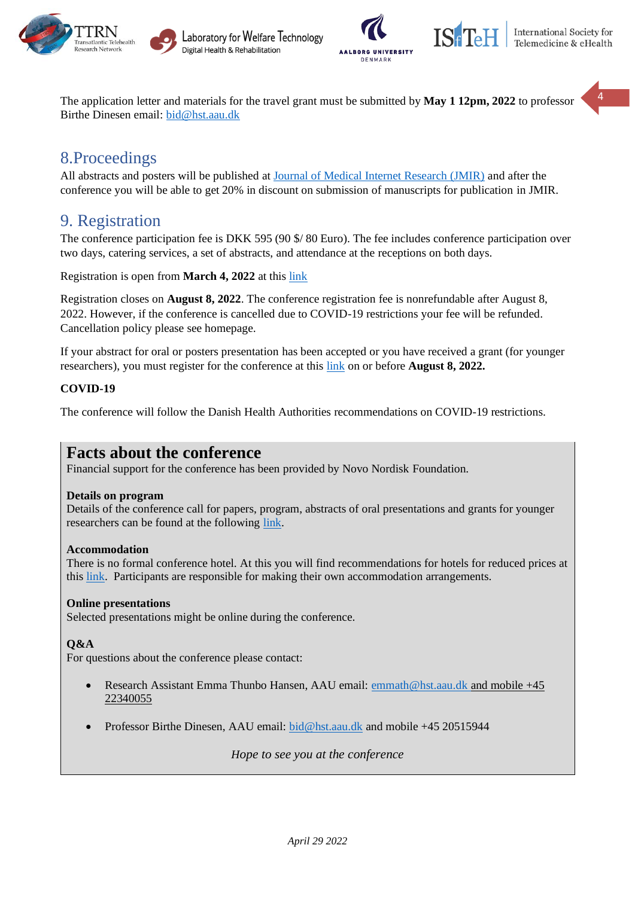





4 The application letter and materials for the travel grant must be submitted by **May 1 12pm, 2022** to professor Birthe Dinesen email: [bid@hst.aau.dk](mailto:bid@hst.aau.dk)

# 8.Proceedings

All abstracts and posters will be published at [Journal of Medical Internet Research \(JMIR\)](https://www.jmir.org/) and after the conference you will be able to get 20% in discount on submission of manuscripts for publication in JMIR.

# 9. Registration

The conference participation fee is DKK 595 (90 \$/ 80 Euro). The fee includes conference participation over two days, catering services, a set of abstracts, and attendance at the receptions on both days.

Registration is open from **March 4, 2022** at this [link](https://www.labwelfaretech.com/ttrn/cph2022/)

Registration closes on **August 8, 2022**. The conference registration fee is nonrefundable after August 8, 2022. However, if the conference is cancelled due to COVID-19 restrictions your fee will be refunded. Cancellation policy please see homepage.

If your abstract for oral or posters presentation has been accepted or you have received a grant (for younger researchers), you must register for the conference at this [link](https://www.labwelfaretech.com/ttrn/cph2022/) on or before **August 8, 2022.**

#### **COVID-19**

The conference will follow the Danish Health Authorities recommendations on COVID-19 restrictions.

### **Facts about the conference**

Financial support for the conference has been provided by Novo Nordisk Foundation.

#### **Details on program**

Details of the conference call for papers, program, abstracts of oral presentations and grants for younger researchers can be found at the following [link.](https://www.labwelfaretech.com/ttrn/cph2022/)

#### **Accommodation**

There is no formal conference hotel. At this you will find recommendations for hotels for reduced prices at this [link.](https://www.labwelfaretech.com/ttrn/cph2022/) Participants are responsible for making their own accommodation arrangements.

#### **Online presentations**

Selected presentations might be online during the conference.

### **Q&A**

For questions about the conference please contact:

- Research Assistant Emma Thunbo Hansen, AAU email: [emmath@hst.aau.dk](mailto:emmath@hst.aau.dk) and mobile +45 22340055
- Professor Birthe Dinesen, AAU email: [bid@hst.aau.dk](mailto:bid@hst.aau.dk) and mobile +45 20515944

*Hope to see you at the conference*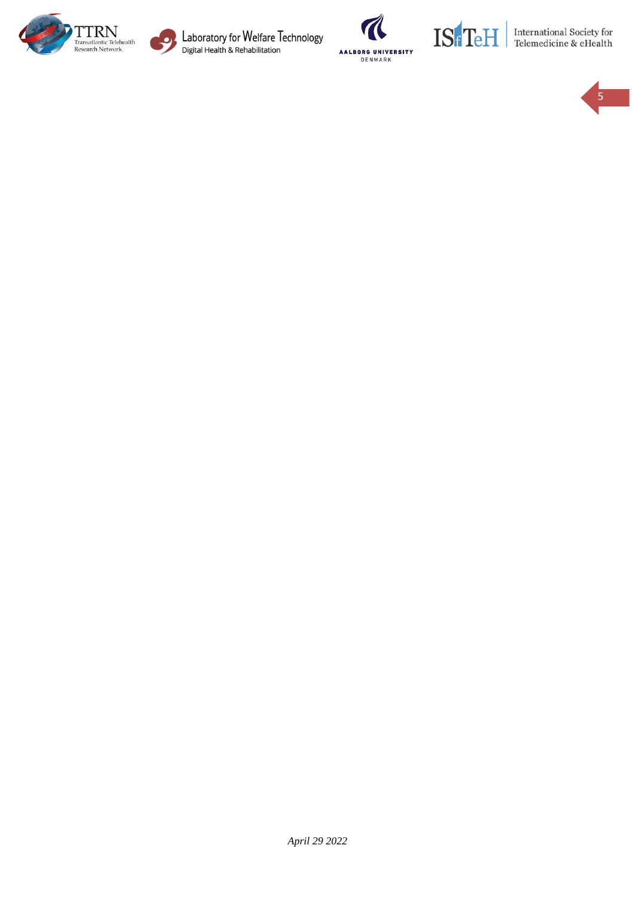



Laboratory for Welfare Technology<br><sub>Digital Health & Rehabilitation</sub>





International Society for<br>Telemedicine & eHealth